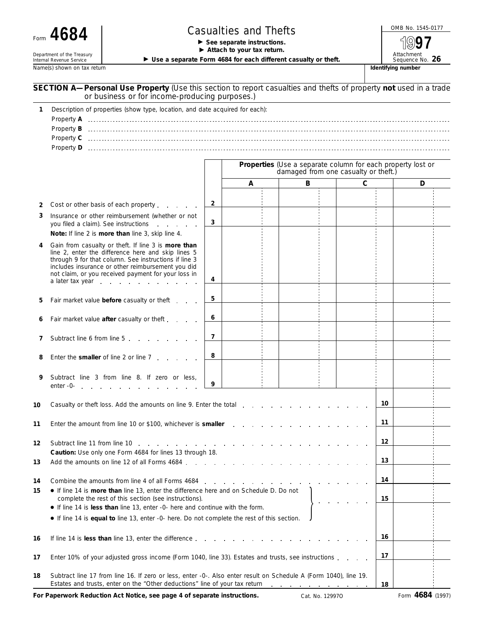Internal Revenue Service

Name(s) shown on tax return

## Form  $4684$   $\begin{array}{|c|c|c|c|}\n \hline\n \end{array}$  Casualties and Thefts  $\begin{array}{|c|c|c|}\n \hline\n \end{array}$   $\begin{array}{|c|c|c|}\n \hline\n \end{array}$   $\begin{array}{|c|c|c|}\n \hline\n \end{array}$   $\begin{array}{|c|c|c|}\n \hline\n \end{array}$

Department of the Treasury **Department of the Treasury** 

■ Use a separate Form 4684 for each different casualty or theft.<br> **Examples** No. **2660466661 and Sequence No. 766046661** 

Attachment<br>Sequence No. 26

16<br>Je

**97**

|          | SECTION A-Personal Use Property (Use this section to report casualties and thefts of property not used in a trade<br>or business or for income-producing purposes.)                                                                                                                                                                                                                                                                                                                                                   |                |                                                                                                     |   |  |              |    |   |  |
|----------|-----------------------------------------------------------------------------------------------------------------------------------------------------------------------------------------------------------------------------------------------------------------------------------------------------------------------------------------------------------------------------------------------------------------------------------------------------------------------------------------------------------------------|----------------|-----------------------------------------------------------------------------------------------------|---|--|--------------|----|---|--|
| 1        | Description of properties (show type, location, and date acquired for each):                                                                                                                                                                                                                                                                                                                                                                                                                                          |                |                                                                                                     |   |  |              |    |   |  |
|          |                                                                                                                                                                                                                                                                                                                                                                                                                                                                                                                       |                | Properties (Use a separate column for each property lost or<br>damaged from one casualty or theft.) |   |  |              |    |   |  |
|          |                                                                                                                                                                                                                                                                                                                                                                                                                                                                                                                       |                | $\overline{A}$                                                                                      | B |  | $\mathsf{C}$ |    | D |  |
| 2        | Cost or other basis of each property                                                                                                                                                                                                                                                                                                                                                                                                                                                                                  | $\overline{2}$ |                                                                                                     |   |  |              |    |   |  |
| 3        | Insurance or other reimbursement (whether or not<br>you filed a claim). See instructions<br>Note: If line 2 is more than line 3, skip line 4.                                                                                                                                                                                                                                                                                                                                                                         | 3              |                                                                                                     |   |  |              |    |   |  |
| 4        | Gain from casualty or theft. If line 3 is more than<br>line 2, enter the difference here and skip lines 5<br>through 9 for that column. See instructions if line 3<br>includes insurance or other reimbursement you did<br>not claim, or you received payment for your loss in<br>a later tax year end a set of the set of the set of the set of the set of the set of the set of the set of the                                                                                                                      | 4              |                                                                                                     |   |  |              |    |   |  |
| 5        | Fair market value before casualty or theft                                                                                                                                                                                                                                                                                                                                                                                                                                                                            | 5              |                                                                                                     |   |  |              |    |   |  |
| 6        | Fair market value after casualty or theft                                                                                                                                                                                                                                                                                                                                                                                                                                                                             | 6              |                                                                                                     |   |  |              |    |   |  |
| 7        | Subtract line 6 from line 5                                                                                                                                                                                                                                                                                                                                                                                                                                                                                           | $\overline{7}$ |                                                                                                     |   |  |              |    |   |  |
| 8        | Enter the smaller of line 2 or line 7, products                                                                                                                                                                                                                                                                                                                                                                                                                                                                       | 8              |                                                                                                     |   |  |              |    |   |  |
| 9        | Subtract line 3 from line 8. If zero or less,<br>enter -0-                                                                                                                                                                                                                                                                                                                                                                                                                                                            | 9              |                                                                                                     |   |  |              |    |   |  |
| 10       |                                                                                                                                                                                                                                                                                                                                                                                                                                                                                                                       |                |                                                                                                     |   |  |              | 10 |   |  |
| 11       | Enter the amount from line 10 or \$100, whichever is smaller<br>and the company of the company of                                                                                                                                                                                                                                                                                                                                                                                                                     |                |                                                                                                     |   |  |              | 11 |   |  |
| 12       | Subtract line 11 from line 10<br>and a series of the contract of the contract of the contract of the contract of the contract of the contract of<br>Caution: Use only one Form 4684 for lines 13 through 18.                                                                                                                                                                                                                                                                                                          |                |                                                                                                     |   |  |              | 12 |   |  |
| 13       | Add the amounts on line 12 of all Forms 4684.                                                                                                                                                                                                                                                                                                                                                                                                                                                                         |                |                                                                                                     |   |  |              | 13 |   |  |
| 14<br>15 | Combine the amounts from line 4 of all Forms 4684<br>the second contract of the second contract of the second contract of the second contract of the second contract of the second contract of the second contract of the second contract of the second contract of the second cont<br>If line 14 is more than line 13, enter the difference here and on Schedule D. Do not<br>complete the rest of this section (see instructions).<br>• If line 14 is less than line 13, enter -0- here and continue with the form. |                |                                                                                                     |   |  |              |    |   |  |
|          | • If line 14 is equal to line 13, enter -0- here. Do not complete the rest of this section.                                                                                                                                                                                                                                                                                                                                                                                                                           |                |                                                                                                     |   |  |              |    |   |  |
| 16       | If line 14 is less than line 13, enter the difference enter the state of the state of the state of the state of the state of the state of the state of the state of the state of the state of the state of the state of the st                                                                                                                                                                                                                                                                                        |                |                                                                                                     |   |  |              |    |   |  |
| 17       | Enter 10% of your adjusted gross income (Form 1040, line 33). Estates and trusts, see instructions                                                                                                                                                                                                                                                                                                                                                                                                                    |                |                                                                                                     |   |  |              |    |   |  |
| 18       | Subtract line 17 from line 16. If zero or less, enter -0-. Also enter result on Schedule A (Form 1040), line 19.<br>Estates and trusts, enter on the "Other deductions" line of your tax return                                                                                                                                                                                                                                                                                                                       |                |                                                                                                     |   |  |              | 18 |   |  |

For Paperwork Reduction Act Notice, see page 4 of separate instructions. Cat. No. 129970 Form 4684 (1997)